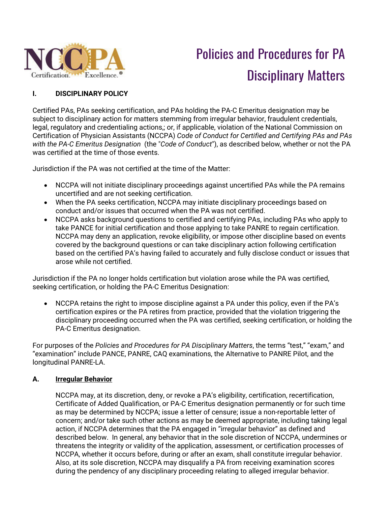

# Policies and Procedures for PA Disciplinary Matters

# **I. DISCIPLINARY POLICY**

Certified PAs, PAs seeking certification, and PAs holding the PA-C Emeritus designation may be subject to disciplinary action for matters stemming from irregular behavior, fraudulent credentials, legal, regulatory and credentialing actions,; or, if applicable, violation of the National Commission on Certification of Physician Assistants (NCCPA) *Code of Conduct for Certified and Certifying PAs and PAs with the PA-C Emeritus Designation* (the "*Code of Conduct*"), as described below, whether or not the PA was certified at the time of those events.

Jurisdiction if the PA was not certified at the time of the Matter:

- NCCPA will not initiate disciplinary proceedings against uncertified PAs while the PA remains uncertified and are not seeking certification.
- When the PA seeks certification, NCCPA may initiate disciplinary proceedings based on conduct and/or issues that occurred when the PA was not certified.
- NCCPA asks background questions to certified and certifying PAs, including PAs who apply to take PANCE for initial certification and those applying to take PANRE to regain certification. NCCPA may deny an application, revoke eligibility, or impose other discipline based on events covered by the background questions or can take disciplinary action following certification based on the certified PA's having failed to accurately and fully disclose conduct or issues that arose while not certified.

Jurisdiction if the PA no longer holds certification but violation arose while the PA was certified, seeking certification, or holding the PA-C Emeritus Designation:

• NCCPA retains the right to impose discipline against a PA under this policy, even if the PA's certification expires or the PA retires from practice, provided that the violation triggering the disciplinary proceeding occurred when the PA was certified, seeking certification, or holding the PA-C Emeritus designation.

For purposes of the *Policies and Procedures for PA Disciplinary Matters*, the terms "test," "exam," and "examination" include PANCE, PANRE, CAQ examinations, the Alternative to PANRE Pilot, and the longitudinal PANRE-LA.

# **A. Irregular Behavior**

NCCPA may, at its discretion, deny, or revoke a PA's eligibility, certification, recertification, Certificate of Added Qualification, or PA-C Emeritus designation permanently or for such time as may be determined by NCCPA; issue a letter of censure; issue a non-reportable letter of concern; and/or take such other actions as may be deemed appropriate, including taking legal action, if NCCPA determines that the PA engaged in "irregular behavior" as defined and described below. In general, any behavior that in the sole discretion of NCCPA, undermines or threatens the integrity or validity of the application, assessment, or certification processes of NCCPA, whether it occurs before, during or after an exam, shall constitute irregular behavior. Also, at its sole discretion, NCCPA may disqualify a PA from receiving examination scores during the pendency of any disciplinary proceeding relating to alleged irregular behavior.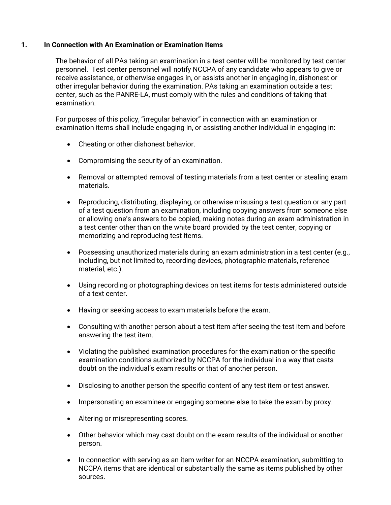#### **1. In Connection with An Examination or Examination Items**

The behavior of all PAs taking an examination in a test center will be monitored by test center personnel. Test center personnel will notify NCCPA of any candidate who appears to give or receive assistance, or otherwise engages in, or assists another in engaging in, dishonest or other irregular behavior during the examination. PAs taking an examination outside a test center, such as the PANRE-LA, must comply with the rules and conditions of taking that examination.

For purposes of this policy, "irregular behavior" in connection with an examination or examination items shall include engaging in, or assisting another individual in engaging in:

- Cheating or other dishonest behavior.
- Compromising the security of an examination.
- Removal or attempted removal of testing materials from a test center or stealing exam materials.
- Reproducing, distributing, displaying, or otherwise misusing a test question or any part of a test question from an examination, including copying answers from someone else or allowing one's answers to be copied, making notes during an exam administration in a test center other than on the white board provided by the test center, copying or memorizing and reproducing test items.
- Possessing unauthorized materials during an exam administration in a test center (e.g., including, but not limited to, recording devices, photographic materials, reference material, etc.).
- Using recording or photographing devices on test items for tests administered outside of a text center.
- Having or seeking access to exam materials before the exam.
- Consulting with another person about a test item after seeing the test item and before answering the test item.
- Violating the published examination procedures for the examination or the specific examination conditions authorized by NCCPA for the individual in a way that casts doubt on the individual's exam results or that of another person.
- Disclosing to another person the specific content of any test item or test answer.
- Impersonating an examinee or engaging someone else to take the exam by proxy.
- Altering or misrepresenting scores.
- Other behavior which may cast doubt on the exam results of the individual or another person.
- In connection with serving as an item writer for an NCCPA examination, submitting to NCCPA items that are identical or substantially the same as items published by other sources.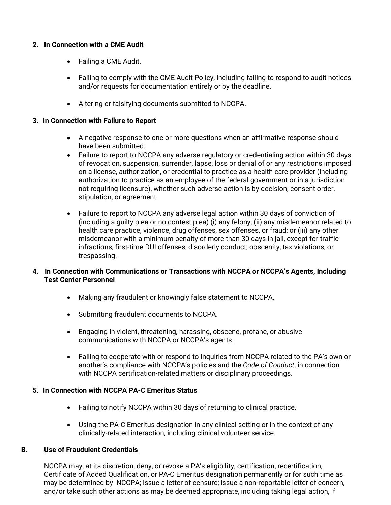## **2. In Connection with a CME Audit**

- Failing a CME Audit.
- Failing to comply with the CME Audit Policy, including failing to respond to audit notices and/or requests for documentation entirely or by the deadline.
- Altering or falsifying documents submitted to NCCPA.

## **3. In Connection with Failure to Report**

- A negative response to one or more questions when an affirmative response should have been submitted.
- Failure to report to NCCPA any adverse regulatory or credentialing action within 30 days of revocation, suspension, surrender, lapse, loss or denial of or any restrictions imposed on a license, authorization, or credential to practice as a health care provider (including authorization to practice as an employee of the federal government or in a jurisdiction not requiring licensure), whether such adverse action is by decision, consent order, stipulation, or agreement.
- Failure to report to NCCPA any adverse legal action within 30 days of conviction of (including a guilty plea or no contest plea) (i) any felony; (ii) any misdemeanor related to health care practice, violence, drug offenses, sex offenses, or fraud; or (iii) any other misdemeanor with a minimum penalty of more than 30 days in jail, except for traffic infractions, first-time DUI offenses, disorderly conduct, obscenity, tax violations, or trespassing.

# **4. In Connection with Communications or Transactions with NCCPA or NCCPA's Agents, Including Test Center Personnel**

- Making any fraudulent or knowingly false statement to NCCPA.
- Submitting fraudulent documents to NCCPA.
- Engaging in violent, threatening, harassing, obscene, profane, or abusive communications with NCCPA or NCCPA's agents.
- Failing to cooperate with or respond to inquiries from NCCPA related to the PA's own or another's compliance with NCCPA's policies and the *Code of Conduct*, in connection with NCCPA certification-related matters or disciplinary proceedings.

# **5. In Connection with NCCPA PA-C Emeritus Status**

- Failing to notify NCCPA within 30 days of returning to clinical practice.
- Using the PA-C Emeritus designation in any clinical setting or in the context of any clinically-related interaction, including clinical volunteer service.

# **B. Use of Fraudulent Credentials**

NCCPA may, at its discretion, deny, or revoke a PA's eligibility, certification, recertification, Certificate of Added Qualification, or PA-C Emeritus designation permanently or for such time as may be determined by NCCPA; issue a letter of censure; issue a non-reportable letter of concern, and/or take such other actions as may be deemed appropriate, including taking legal action, if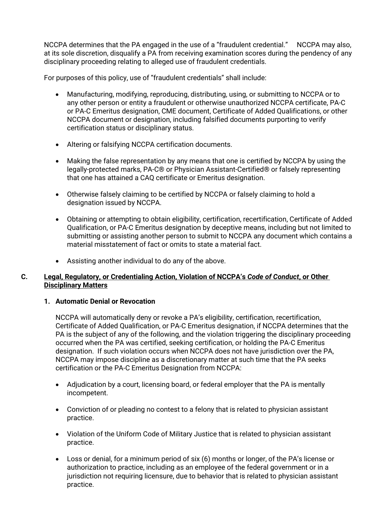NCCPA determines that the PA engaged in the use of a "fraudulent credential." NCCPA may also, at its sole discretion, disqualify a PA from receiving examination scores during the pendency of any disciplinary proceeding relating to alleged use of fraudulent credentials.

For purposes of this policy, use of "fraudulent credentials" shall include:

- Manufacturing, modifying, reproducing, distributing, using, or submitting to NCCPA or to any other person or entity a fraudulent or otherwise unauthorized NCCPA certificate, PA-C or PA-C Emeritus designation, CME document, Certificate of Added Qualifications, or other NCCPA document or designation, including falsified documents purporting to verify certification status or disciplinary status.
- Altering or falsifying NCCPA certification documents.
- Making the false representation by any means that one is certified by NCCPA by using the legally-protected marks, PA-C® or Physician Assistant-Certified® or falsely representing that one has attained a CAQ certificate or Emeritus designation.
- Otherwise falsely claiming to be certified by NCCPA or falsely claiming to hold a designation issued by NCCPA.
- Obtaining or attempting to obtain eligibility, certification, recertification, Certificate of Added Qualification, or PA-C Emeritus designation by deceptive means, including but not limited to submitting or assisting another person to submit to NCCPA any document which contains a material misstatement of fact or omits to state a material fact.
- Assisting another individual to do any of the above.

## **C. Legal, Regulatory, or Credentialing Action, Violation of NCCPA's** *Code of Conduct***, or Other Disciplinary Matters**

#### **1. Automatic Denial or Revocation**

NCCPA will automatically deny or revoke a PA's eligibility, certification, recertification, Certificate of Added Qualification, or PA-C Emeritus designation, if NCCPA determines that the PA is the subject of any of the following, and the violation triggering the disciplinary proceeding occurred when the PA was certified, seeking certification, or holding the PA-C Emeritus designation. If such violation occurs when NCCPA does not have jurisdiction over the PA, NCCPA may impose discipline as a discretionary matter at such time that the PA seeks certification or the PA-C Emeritus Designation from NCCPA:

- Adjudication by a court, licensing board, or federal employer that the PA is mentally incompetent.
- Conviction of or pleading no contest to a felony that is related to physician assistant practice.
- Violation of the Uniform Code of Military Justice that is related to physician assistant practice.
- Loss or denial, for a minimum period of six (6) months or longer, of the PA's license or authorization to practice, including as an employee of the federal government or in a jurisdiction not requiring licensure, due to behavior that is related to physician assistant practice.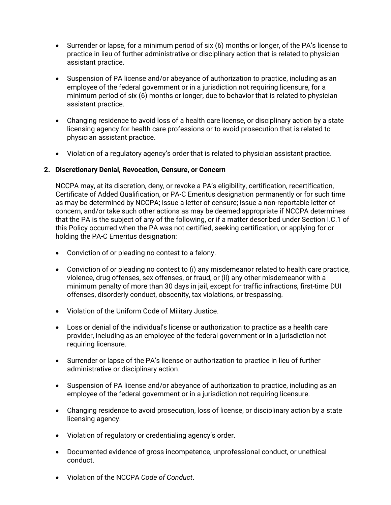- Surrender or lapse, for a minimum period of six (6) months or longer, of the PA's license to practice in lieu of further administrative or disciplinary action that is related to physician assistant practice.
- Suspension of PA license and/or abeyance of authorization to practice, including as an employee of the federal government or in a jurisdiction not requiring licensure, for a minimum period of six (6) months or longer, due to behavior that is related to physician assistant practice.
- Changing residence to avoid loss of a health care license, or disciplinary action by a state licensing agency for health care professions or to avoid prosecution that is related to physician assistant practice.
- Violation of a regulatory agency's order that is related to physician assistant practice.

## **2. Discretionary Denial, Revocation, Censure, or Concern**

NCCPA may, at its discretion, deny, or revoke a PA's eligibility, certification, recertification, Certificate of Added Qualification, or PA-C Emeritus designation permanently or for such time as may be determined by NCCPA; issue a letter of censure; issue a non-reportable letter of concern, and/or take such other actions as may be deemed appropriate if NCCPA determines that the PA is the subject of any of the following, or if a matter described under Section I.C.1 of this Policy occurred when the PA was not certified, seeking certification, or applying for or holding the PA-C Emeritus designation:

- Conviction of or pleading no contest to a felony.
- Conviction of or pleading no contest to (i) any misdemeanor related to health care practice, violence, drug offenses, sex offenses, or fraud, or (ii) any other misdemeanor with a minimum penalty of more than 30 days in jail, except for traffic infractions, first-time DUI offenses, disorderly conduct, obscenity, tax violations, or trespassing.
- Violation of the Uniform Code of Military Justice.
- Loss or denial of the individual's license or authorization to practice as a health care provider, including as an employee of the federal government or in a jurisdiction not requiring licensure.
- Surrender or lapse of the PA's license or authorization to practice in lieu of further administrative or disciplinary action.
- Suspension of PA license and/or abeyance of authorization to practice, including as an employee of the federal government or in a jurisdiction not requiring licensure.
- Changing residence to avoid prosecution, loss of license, or disciplinary action by a state licensing agency.
- Violation of regulatory or credentialing agency's order.
- Documented evidence of gross incompetence, unprofessional conduct, or unethical conduct.
- Violation of the NCCPA *Code of Conduct*.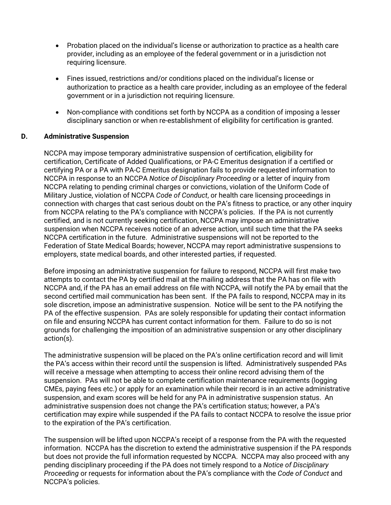- Probation placed on the individual's license or authorization to practice as a health care provider, including as an employee of the federal government or in a jurisdiction not requiring licensure.
- Fines issued, restrictions and/or conditions placed on the individual's license or authorization to practice as a health care provider, including as an employee of the federal government or in a jurisdiction not requiring licensure.
- Non-compliance with conditions set forth by NCCPA as a condition of imposing a lesser disciplinary sanction or when re-establishment of eligibility for certification is granted.

## **D. Administrative Suspension**

NCCPA may impose temporary administrative suspension of certification, eligibility for certification, Certificate of Added Qualifications, or PA-C Emeritus designation if a certified or certifying PA or a PA with PA-C Emeritus designation fails to provide requested information to NCCPA in response to an NCCPA *Notice of Disciplinary Proceeding* or a letter of inquiry from NCCPA relating to pending criminal charges or convictions, violation of the Uniform Code of Military Justice, violation of NCCPA *Code of Conduct*, or health care licensing proceedings in connection with charges that cast serious doubt on the PA's fitness to practice, or any other inquiry from NCCPA relating to the PA's compliance with NCCPA's policies. If the PA is not currently certified, and is not currently seeking certification, NCCPA may impose an administrative suspension when NCCPA receives notice of an adverse action, until such time that the PA seeks NCCPA certification in the future. Administrative suspensions will not be reported to the Federation of State Medical Boards; however, NCCPA may report administrative suspensions to employers, state medical boards, and other interested parties, if requested.

Before imposing an administrative suspension for failure to respond, NCCPA will first make two attempts to contact the PA by certified mail at the mailing address that the PA has on file with NCCPA and, if the PA has an email address on file with NCCPA, will notify the PA by email that the second certified mail communication has been sent. If the PA fails to respond, NCCPA may in its sole discretion, impose an administrative suspension. Notice will be sent to the PA notifying the PA of the effective suspension. PAs are solely responsible for updating their contact information on file and ensuring NCCPA has current contact information for them. Failure to do so is not grounds for challenging the imposition of an administrative suspension or any other disciplinary action(s).

The administrative suspension will be placed on the PA's online certification record and will limit the PA's access within their record until the suspension is lifted. Administratively suspended PAs will receive a message when attempting to access their online record advising them of the suspension. PAs will not be able to complete certification maintenance requirements (logging CMEs, paying fees etc.) or apply for an examination while their record is in an active administrative suspension, and exam scores will be held for any PA in administrative suspension status. An administrative suspension does not change the PA's certification status; however, a PA's certification may expire while suspended if the PA fails to contact NCCPA to resolve the issue prior to the expiration of the PA's certification.

The suspension will be lifted upon NCCPA's receipt of a response from the PA with the requested information. NCCPA has the discretion to extend the administrative suspension if the PA responds but does not provide the full information requested by NCCPA. NCCPA may also proceed with any pending disciplinary proceeding if the PA does not timely respond to a *Notice of Disciplinary Proceeding* or requests for information about the PA's compliance with the *Code of Conduct* and NCCPA's policies.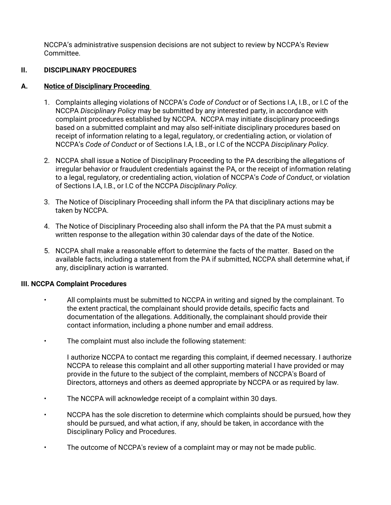NCCPA's administrative suspension decisions are not subject to review by NCCPA's Review Committee.

## **II. DISCIPLINARY PROCEDURES**

### **A. Notice of Disciplinary Proceeding**

- 1. Complaints alleging violations of NCCPA's *Code of Conduct* or of Sections I.A, I.B., or I.C of the NCCPA *Disciplinary Policy* may be submitted by any interested party, in accordance with complaint procedures established by NCCPA. NCCPA may initiate disciplinary proceedings based on a submitted complaint and may also self-initiate disciplinary procedures based on receipt of information relating to a legal, regulatory, or credentialing action, or violation of NCCPA's *Code of Conduct* or of Sections I.A, I.B., or I.C of the NCCPA *Disciplinary Policy*.
- 2. NCCPA shall issue a Notice of Disciplinary Proceeding to the PA describing the allegations of irregular behavior or fraudulent credentials against the PA, or the receipt of information relating to a legal, regulatory, or credentialing action, violation of NCCPA's *Code of Conduct*, or violation of Sections I.A, I.B., or I.C of the NCCPA *Disciplinary Policy.*
- 3. The Notice of Disciplinary Proceeding shall inform the PA that disciplinary actions may be taken by NCCPA.
- 4. The Notice of Disciplinary Proceeding also shall inform the PA that the PA must submit a written response to the allegation within 30 calendar days of the date of the Notice.
- 5. NCCPA shall make a reasonable effort to determine the facts of the matter. Based on the available facts, including a statement from the PA if submitted, NCCPA shall determine what, if any, disciplinary action is warranted.

#### **III. NCCPA Complaint Procedures**

- All complaints must be submitted to NCCPA in writing and signed by the complainant. To the extent practical, the complainant should provide details, specific facts and documentation of the allegations. Additionally, the complainant should provide their contact information, including a phone number and email address.
- The complaint must also include the following statement:

I authorize NCCPA to contact me regarding this complaint, if deemed necessary. I authorize NCCPA to release this complaint and all other supporting material I have provided or may provide in the future to the subject of the complaint, members of NCCPA's Board of Directors, attorneys and others as deemed appropriate by NCCPA or as required by law.

- The NCCPA will acknowledge receipt of a complaint within 30 days.
- NCCPA has the sole discretion to determine which complaints should be pursued, how they should be pursued, and what action, if any, should be taken, in accordance with the Disciplinary Policy and Procedures.
- The outcome of NCCPA's review of a complaint may or may not be made public.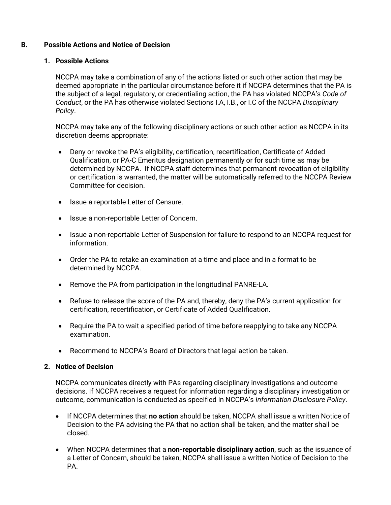# **B. Possible Actions and Notice of Decision**

#### **1. Possible Actions**

NCCPA may take a combination of any of the actions listed or such other action that may be deemed appropriate in the particular circumstance before it if NCCPA determines that the PA is the subject of a legal, regulatory, or credentialing action, the PA has violated NCCPA's *Code of Conduct*, or the PA has otherwise violated Sections I.A, I.B., or I.C of the NCCPA *Disciplinary Policy*.

NCCPA may take any of the following disciplinary actions or such other action as NCCPA in its discretion deems appropriate:

- Deny or revoke the PA's eligibility, certification, recertification, Certificate of Added Qualification, or PA-C Emeritus designation permanently or for such time as may be determined by NCCPA. If NCCPA staff determines that permanent revocation of eligibility or certification is warranted, the matter will be automatically referred to the NCCPA Review Committee for decision.
- Issue a reportable Letter of Censure.
- Issue a non-reportable Letter of Concern.
- Issue a non-reportable Letter of Suspension for failure to respond to an NCCPA request for information.
- Order the PA to retake an examination at a time and place and in a format to be determined by NCCPA.
- Remove the PA from participation in the longitudinal PANRE-LA.
- Refuse to release the score of the PA and, thereby, deny the PA's current application for certification, recertification, or Certificate of Added Qualification.
- Require the PA to wait a specified period of time before reapplying to take any NCCPA examination.
- Recommend to NCCPA's Board of Directors that legal action be taken.

#### **2. Notice of Decision**

NCCPA communicates directly with PAs regarding disciplinary investigations and outcome decisions. If NCCPA receives a request for information regarding a disciplinary investigation or outcome, communication is conducted as specified in NCCPA's *Information Disclosure Policy*.

- If NCCPA determines that **no action** should be taken, NCCPA shall issue a written Notice of Decision to the PA advising the PA that no action shall be taken, and the matter shall be closed.
- When NCCPA determines that a **non-reportable disciplinary action**, such as the issuance of a Letter of Concern, should be taken, NCCPA shall issue a written Notice of Decision to the PA.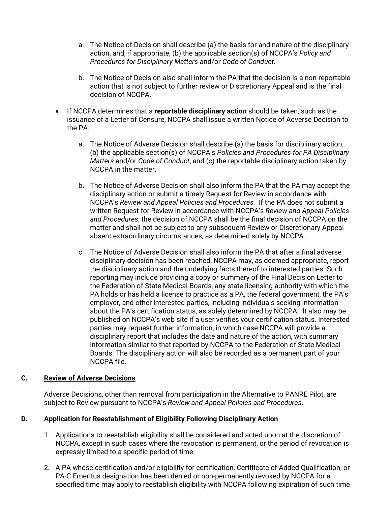- a. The Notice of Decision shall describe (a) the basis for and nature of the disciplinary action, and, if appropriate, (b) the applicable section(s) of NCCPA's *Policy and Procedures for Disciplinary Matters* and/or *Code of Conduct*.
- b. The Notice of Decision also shall inform the PA that the decision is a non-reportable action that is not subject to further review or Discretionary Appeal and is the final decision of NCCPA.
- If NCCPA determines that a **reportable disciplinary action** should be taken, such as the issuance of a Letter of Censure, NCCPA shall issue a written Notice of Adverse Decision to the PA.
	- a. The Notice of Adverse Decision shall describe (a) the basis for disciplinary action; (b) the applicable section(s) of NCCPA's *Policies and Procedures for PA Disciplinary Matters* and/or *Code of Conduct*, and (c) the reportable disciplinary action taken by NCCPA in the matter.
	- b. The Notice of Adverse Decision shall also inform the PA that the PA may accept the disciplinary action or submit a timely Request for Review in accordance with NCCPA's *Review and Appeal Policies and Procedures.* If the PA does not submit a written Request for Review in accordance with NCCPA's *Review and Appeal Policies and Procedures*, the decision of NCCPA shall be the final decision of NCCPA on the matter and shall not be subject to any subsequent Review or Discretionary Appeal absent extraordinary circumstances, as determined solely by NCCPA.
	- c. The Notice of Adverse Decision shall also inform the PA that after a final adverse disciplinary decision has been reached, NCCPA may, as deemed appropriate, report the disciplinary action and the underlying facts thereof to interested parties. Such reporting may include providing a copy or summary of the Final Decision Letter to the Federation of State Medical Boards, any state licensing authority with which the PA holds or has held a license to practice as a PA, the federal government, the PA's employer, and other interested parties, including individuals seeking information about the PA's certification status, as solely determined by NCCPA. It also may be published on NCCPA's web site if a user verifies your certification status. Interested parties may request further information, in which case NCCPA will provide a disciplinary report that includes the date and nature of the action, with summary information similar to that reported by NCCPA to the Federation of State Medical Boards. The disciplinary action will also be recorded as a permanent part of your NCCPA file.

#### **C. Review of Adverse Decisions**

Adverse Decisions, other than removal from participation in the Alternative to PANRE Pilot, are subject to Review pursuant to NCCPA's *Review and Appeal Policies and Procedures*.

#### **D. Application for Reestablishment of Eligibility Following Disciplinary Action**

- 1. Applications to reestablish eligibility shall be considered and acted upon at the discretion of NCCPA, except in such cases where the revocation is permanent, or the period of revocation is expressly limited to a specific period of time.
- 2. A PA whose certification and/or eligibility for certification, Certificate of Added Qualification, or PA-C Emeritus designation has been denied or non-permanently revoked by NCCPA for a specified time may apply to reestablish eligibility with NCCPA following expiration of such time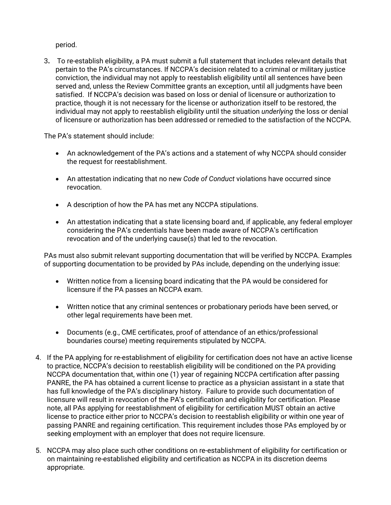period.

3**.** To re-establish eligibility, a PA must submit a full statement that includes relevant details that pertain to the PA's circumstances. If NCCPA's decision related to a criminal or military justice conviction, the individual may not apply to reestablish eligibility until all sentences have been served and, unless the Review Committee grants an exception, until all judgments have been satisfied. If NCCPA's decision was based on loss or denial of licensure or authorization to practice, though it is not necessary for the license or authorization itself to be restored, the individual may not apply to reestablish eligibility until the situation *underlying* the loss or denial of licensure or authorization has been addressed or remedied to the satisfaction of the NCCPA.

The PA's statement should include:

- An acknowledgement of the PA's actions and a statement of why NCCPA should consider the request for reestablishment.
- An attestation indicating that no new *Code of Conduct* violations have occurred since revocation.
- A description of how the PA has met any NCCPA stipulations.
- An attestation indicating that a state licensing board and, if applicable, any federal employer considering the PA's credentials have been made aware of NCCPA's certification revocation and of the underlying cause(s) that led to the revocation.

PAs must also submit relevant supporting documentation that will be verified by NCCPA. Examples of supporting documentation to be provided by PAs include, depending on the underlying issue:

- Written notice from a licensing board indicating that the PA would be considered for licensure if the PA passes an NCCPA exam.
- Written notice that any criminal sentences or probationary periods have been served, or other legal requirements have been met.
- Documents (e.g., CME certificates, proof of attendance of an ethics/professional boundaries course) meeting requirements stipulated by NCCPA.
- 4. If the PA applying for re-establishment of eligibility for certification does not have an active license to practice, NCCPA's decision to reestablish eligibility will be conditioned on the PA providing NCCPA documentation that, within one (1) year of regaining NCCPA certification after passing PANRE, the PA has obtained a current license to practice as a physician assistant in a state that has full knowledge of the PA's disciplinary history. Failure to provide such documentation of licensure will result in revocation of the PA's certification and eligibility for certification. Please note, all PAs applying for reestablishment of eligibility for certification MUST obtain an active license to practice either prior to NCCPA's decision to reestablish eligibility or within one year of passing PANRE and regaining certification. This requirement includes those PAs employed by or seeking employment with an employer that does not require licensure.
- 5. NCCPA may also place such other conditions on re-establishment of eligibility for certification or on maintaining re-established eligibility and certification as NCCPA in its discretion deems appropriate.